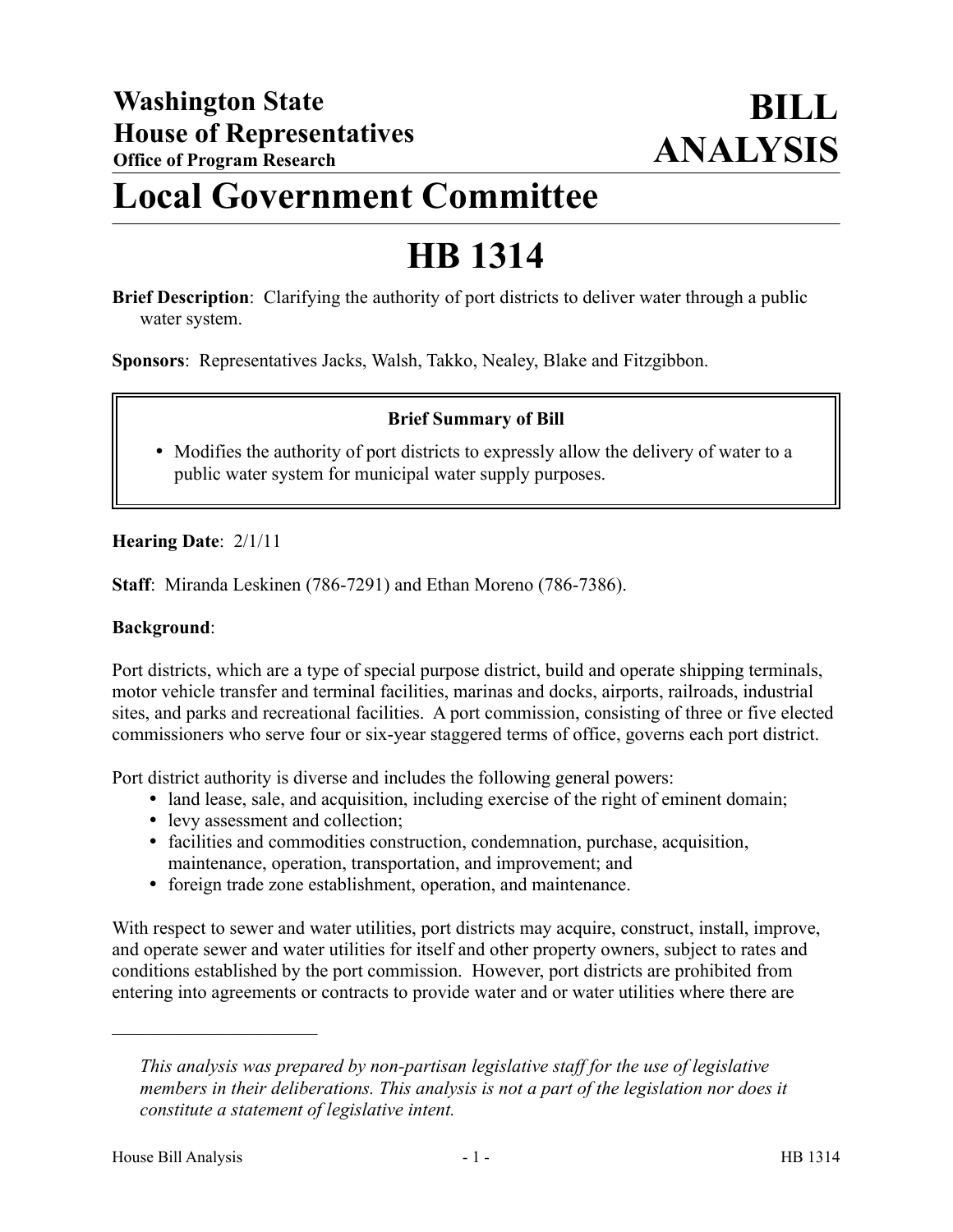## **Local Government Committee**

# **HB 1314**

**Brief Description**: Clarifying the authority of port districts to deliver water through a public water system.

**Sponsors**: Representatives Jacks, Walsh, Takko, Nealey, Blake and Fitzgibbon.

### **Brief Summary of Bill**

• Modifies the authority of port districts to expressly allow the delivery of water to a public water system for municipal water supply purposes.

### **Hearing Date**: 2/1/11

**Staff**: Miranda Leskinen (786-7291) and Ethan Moreno (786-7386).

#### **Background**:

Port districts, which are a type of special purpose district, build and operate shipping terminals, motor vehicle transfer and terminal facilities, marinas and docks, airports, railroads, industrial sites, and parks and recreational facilities. A port commission, consisting of three or five elected commissioners who serve four or six-year staggered terms of office, governs each port district.

Port district authority is diverse and includes the following general powers:

- land lease, sale, and acquisition, including exercise of the right of eminent domain;
- levy assessment and collection;
- facilities and commodities construction, condemnation, purchase, acquisition, maintenance, operation, transportation, and improvement; and
- foreign trade zone establishment, operation, and maintenance.

With respect to sewer and water utilities, port districts may acquire, construct, install, improve, and operate sewer and water utilities for itself and other property owners, subject to rates and conditions established by the port commission. However, port districts are prohibited from entering into agreements or contracts to provide water and or water utilities where there are

––––––––––––––––––––––

*This analysis was prepared by non-partisan legislative staff for the use of legislative members in their deliberations. This analysis is not a part of the legislation nor does it constitute a statement of legislative intent.*